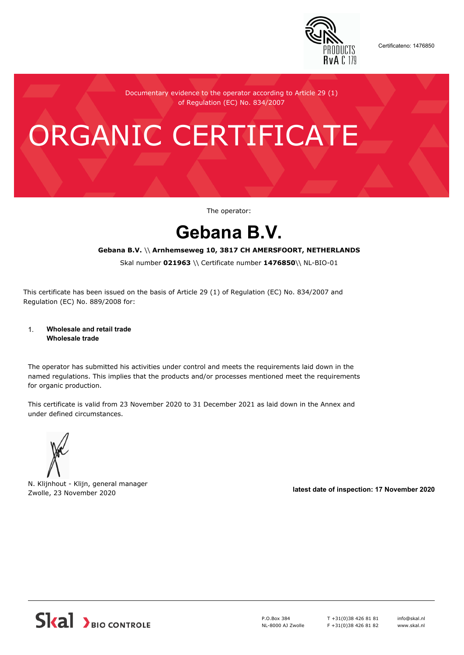

Certificateno: 1476850

Documentary evidence to the operator according to Article 29 (1) of Regulation (EC) No. 834/2007

# ORGANIC CERTIFICATE

The operator:

## **Gebana B.V.**

#### **Gebana B.V.** \\ **Arnhemseweg 10, 3817 CH AMERSFOORT, NETHERLANDS**

Skal number **021963** \\ Certificate number **1476850**\\ NL-BIO-01

This certificate has been issued on the basis of Article 29 (1) of Regulation (EC) No. 834/2007 and Regulation (EC) No. 889/2008 for:

#### 1. **Wholesale and retail trade Wholesale trade**

The operator has submitted his activities under control and meets the requirements laid down in the named regulations. This implies that the products and/or processes mentioned meet the requirements for organic production.

This certificate is valid from 23 November 2020 to 31 December 2021 as laid down in the Annex and under defined circumstances.



N. Klijnhout - Klijn, general manager Zwolle, 23 November 2020 **latest date of inspection: 17 November 2020**



P.O.Box 384 NL-8000 AJ Zwolle T +31(0)38 426 81 81 F +31(0)38 426 81 82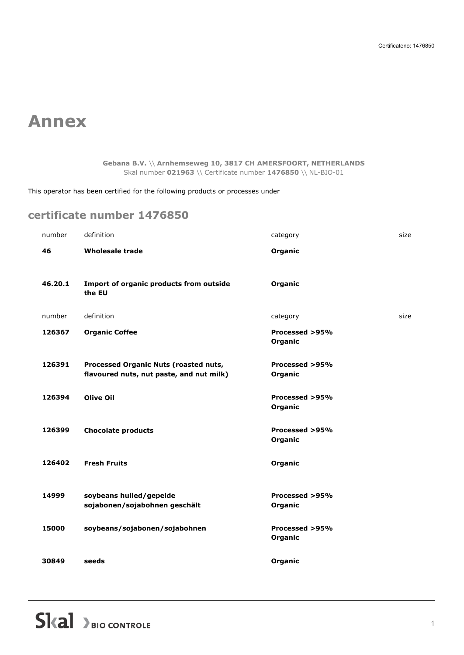## **Annex**

#### **Gebana B.V.** \\ **Arnhemseweg 10, 3817 CH AMERSFOORT, NETHERLANDS** Skal number **021963** \\ Certificate number **1476850** \\ NL-BIO-01

This operator has been certified for the following products or processes under

### **certificate number 1476850**

| number  | definition                                               | category       | size |
|---------|----------------------------------------------------------|----------------|------|
| 46      | <b>Wholesale trade</b>                                   | Organic        |      |
|         |                                                          |                |      |
| 46.20.1 | Import of organic products from outside<br>the EU        | Organic        |      |
|         |                                                          |                |      |
| number  | definition                                               | category       | size |
| 126367  | <b>Organic Coffee</b>                                    | Processed >95% |      |
|         |                                                          | Organic        |      |
| 126391  | Processed Organic Nuts (roasted nuts,                    | Processed >95% |      |
|         | flavoured nuts, nut paste, and nut milk)                 | Organic        |      |
| 126394  | <b>Olive Oil</b>                                         | Processed >95% |      |
|         |                                                          | Organic        |      |
| 126399  | <b>Chocolate products</b>                                | Processed >95% |      |
|         |                                                          | Organic        |      |
| 126402  | <b>Fresh Fruits</b>                                      | Organic        |      |
|         |                                                          |                |      |
| 14999   |                                                          | Processed >95% |      |
|         | soybeans hulled/gepelde<br>sojabonen/sojabohnen geschält | Organic        |      |
|         |                                                          |                |      |
| 15000   | soybeans/sojabonen/sojabohnen                            | Processed >95% |      |
|         |                                                          | Organic        |      |
| 30849   | seeds                                                    | Organic        |      |
|         |                                                          |                |      |